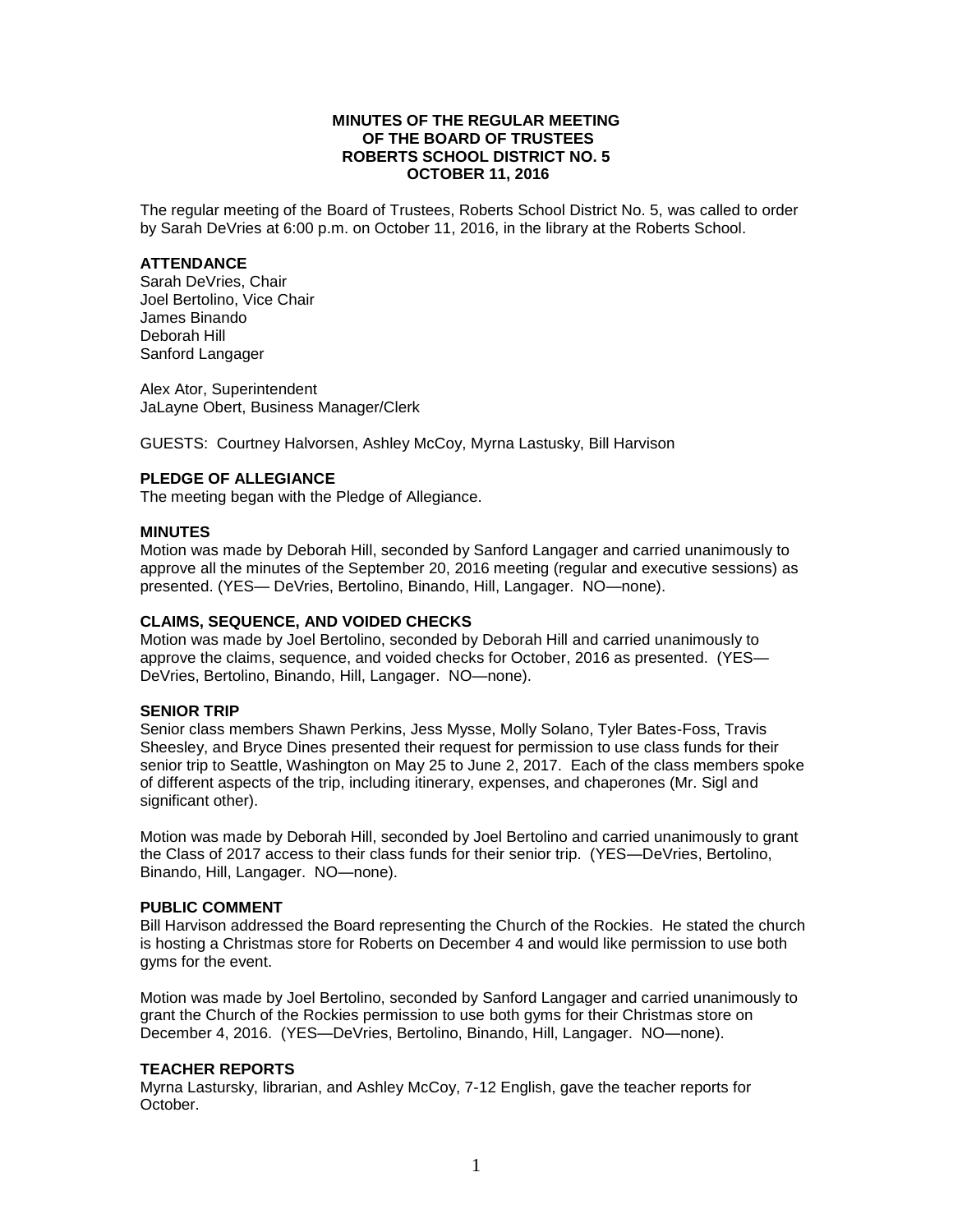# **MINUTES OF THE REGULAR MEETING OF THE BOARD OF TRUSTEES ROBERTS SCHOOL DISTRICT NO. 5 OCTOBER 11, 2016**

The regular meeting of the Board of Trustees, Roberts School District No. 5, was called to order by Sarah DeVries at 6:00 p.m. on October 11, 2016, in the library at the Roberts School.

### **ATTENDANCE**

Sarah DeVries, Chair Joel Bertolino, Vice Chair James Binando Deborah Hill Sanford Langager

Alex Ator, Superintendent JaLayne Obert, Business Manager/Clerk

GUESTS: Courtney Halvorsen, Ashley McCoy, Myrna Lastusky, Bill Harvison

# **PLEDGE OF ALLEGIANCE**

The meeting began with the Pledge of Allegiance.

### **MINUTES**

Motion was made by Deborah Hill, seconded by Sanford Langager and carried unanimously to approve all the minutes of the September 20, 2016 meeting (regular and executive sessions) as presented. (YES— DeVries, Bertolino, Binando, Hill, Langager. NO—none).

## **CLAIMS, SEQUENCE, AND VOIDED CHECKS**

Motion was made by Joel Bertolino, seconded by Deborah Hill and carried unanimously to approve the claims, sequence, and voided checks for October, 2016 as presented. (YES— DeVries, Bertolino, Binando, Hill, Langager. NO—none).

# **SENIOR TRIP**

Senior class members Shawn Perkins, Jess Mysse, Molly Solano, Tyler Bates-Foss, Travis Sheesley, and Bryce Dines presented their request for permission to use class funds for their senior trip to Seattle, Washington on May 25 to June 2, 2017. Each of the class members spoke of different aspects of the trip, including itinerary, expenses, and chaperones (Mr. Sigl and significant other).

Motion was made by Deborah Hill, seconded by Joel Bertolino and carried unanimously to grant the Class of 2017 access to their class funds for their senior trip. (YES—DeVries, Bertolino, Binando, Hill, Langager. NO—none).

# **PUBLIC COMMENT**

Bill Harvison addressed the Board representing the Church of the Rockies. He stated the church is hosting a Christmas store for Roberts on December 4 and would like permission to use both gyms for the event.

Motion was made by Joel Bertolino, seconded by Sanford Langager and carried unanimously to grant the Church of the Rockies permission to use both gyms for their Christmas store on December 4, 2016. (YES—DeVries, Bertolino, Binando, Hill, Langager. NO—none).

# **TEACHER REPORTS**

Myrna Lastursky, librarian, and Ashley McCoy, 7-12 English, gave the teacher reports for October.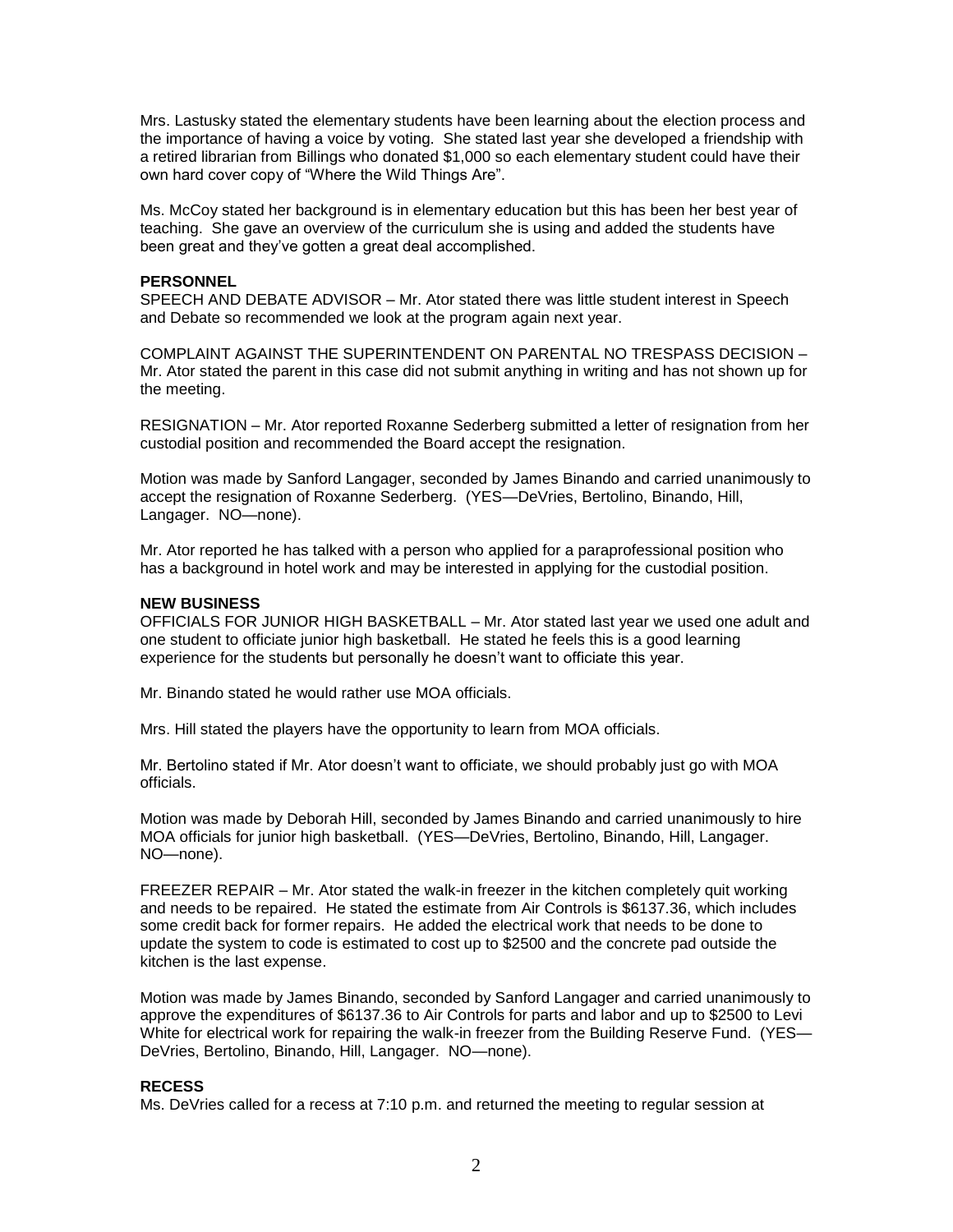Mrs. Lastusky stated the elementary students have been learning about the election process and the importance of having a voice by voting. She stated last year she developed a friendship with a retired librarian from Billings who donated \$1,000 so each elementary student could have their own hard cover copy of "Where the Wild Things Are".

Ms. McCoy stated her background is in elementary education but this has been her best year of teaching. She gave an overview of the curriculum she is using and added the students have been great and they've gotten a great deal accomplished.

# **PERSONNEL**

SPEECH AND DEBATE ADVISOR – Mr. Ator stated there was little student interest in Speech and Debate so recommended we look at the program again next year.

COMPLAINT AGAINST THE SUPERINTENDENT ON PARENTAL NO TRESPASS DECISION – Mr. Ator stated the parent in this case did not submit anything in writing and has not shown up for the meeting.

RESIGNATION – Mr. Ator reported Roxanne Sederberg submitted a letter of resignation from her custodial position and recommended the Board accept the resignation.

Motion was made by Sanford Langager, seconded by James Binando and carried unanimously to accept the resignation of Roxanne Sederberg. (YES—DeVries, Bertolino, Binando, Hill, Langager. NO—none).

Mr. Ator reported he has talked with a person who applied for a paraprofessional position who has a background in hotel work and may be interested in applying for the custodial position.

### **NEW BUSINESS**

OFFICIALS FOR JUNIOR HIGH BASKETBALL – Mr. Ator stated last year we used one adult and one student to officiate junior high basketball. He stated he feels this is a good learning experience for the students but personally he doesn't want to officiate this year.

Mr. Binando stated he would rather use MOA officials.

Mrs. Hill stated the players have the opportunity to learn from MOA officials.

Mr. Bertolino stated if Mr. Ator doesn't want to officiate, we should probably just go with MOA officials.

Motion was made by Deborah Hill, seconded by James Binando and carried unanimously to hire MOA officials for junior high basketball. (YES—DeVries, Bertolino, Binando, Hill, Langager. NO—none).

FREEZER REPAIR – Mr. Ator stated the walk-in freezer in the kitchen completely quit working and needs to be repaired. He stated the estimate from Air Controls is \$6137.36, which includes some credit back for former repairs. He added the electrical work that needs to be done to update the system to code is estimated to cost up to \$2500 and the concrete pad outside the kitchen is the last expense.

Motion was made by James Binando, seconded by Sanford Langager and carried unanimously to approve the expenditures of \$6137.36 to Air Controls for parts and labor and up to \$2500 to Levi White for electrical work for repairing the walk-in freezer from the Building Reserve Fund. (YES-DeVries, Bertolino, Binando, Hill, Langager. NO—none).

### **RECESS**

Ms. DeVries called for a recess at 7:10 p.m. and returned the meeting to regular session at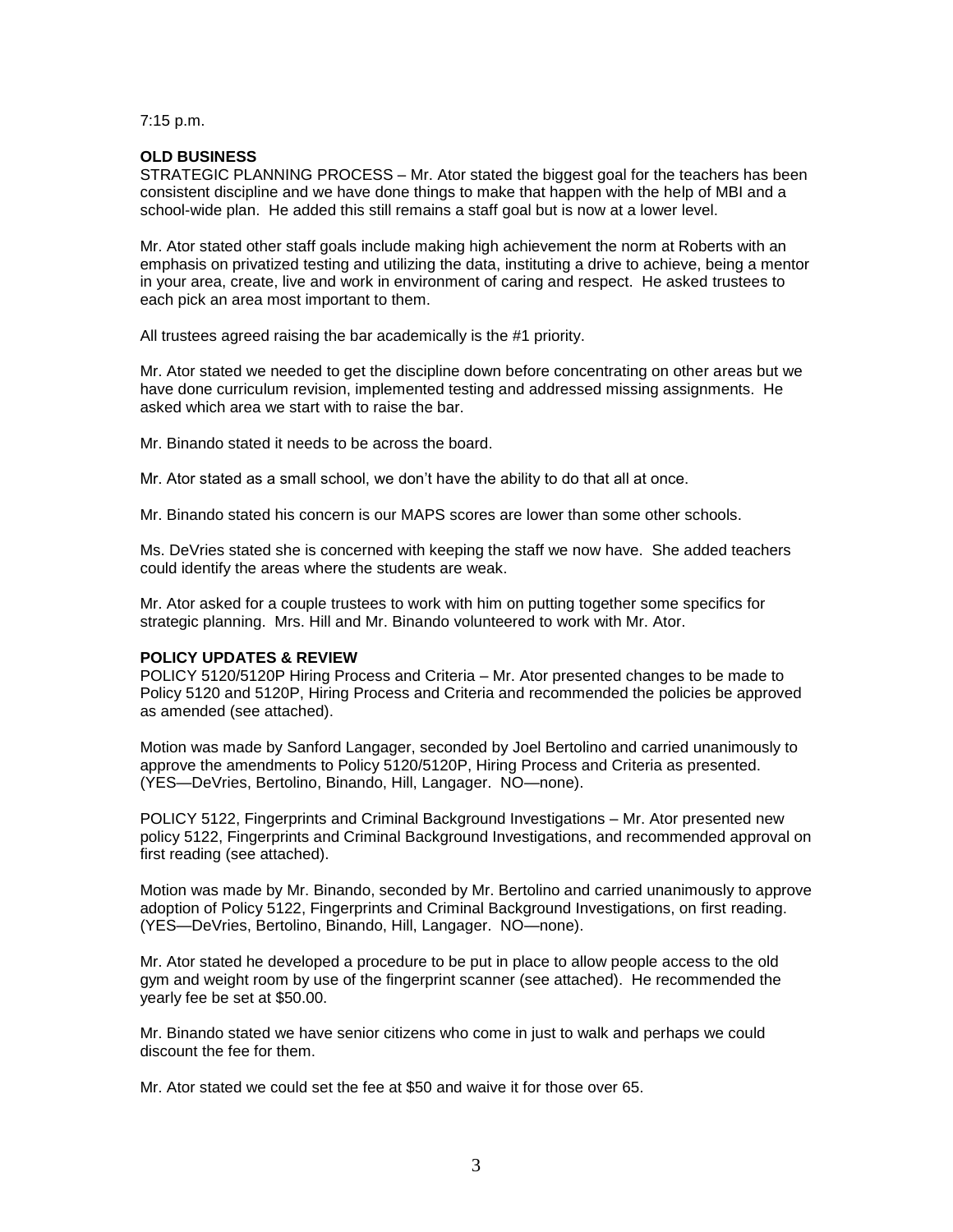7:15 p.m.

# **OLD BUSINESS**

STRATEGIC PLANNING PROCESS – Mr. Ator stated the biggest goal for the teachers has been consistent discipline and we have done things to make that happen with the help of MBI and a school-wide plan. He added this still remains a staff goal but is now at a lower level.

Mr. Ator stated other staff goals include making high achievement the norm at Roberts with an emphasis on privatized testing and utilizing the data, instituting a drive to achieve, being a mentor in your area, create, live and work in environment of caring and respect. He asked trustees to each pick an area most important to them.

All trustees agreed raising the bar academically is the #1 priority.

Mr. Ator stated we needed to get the discipline down before concentrating on other areas but we have done curriculum revision, implemented testing and addressed missing assignments. He asked which area we start with to raise the bar.

Mr. Binando stated it needs to be across the board.

Mr. Ator stated as a small school, we don't have the ability to do that all at once.

Mr. Binando stated his concern is our MAPS scores are lower than some other schools.

Ms. DeVries stated she is concerned with keeping the staff we now have. She added teachers could identify the areas where the students are weak.

Mr. Ator asked for a couple trustees to work with him on putting together some specifics for strategic planning. Mrs. Hill and Mr. Binando volunteered to work with Mr. Ator.

# **POLICY UPDATES & REVIEW**

POLICY 5120/5120P Hiring Process and Criteria – Mr. Ator presented changes to be made to Policy 5120 and 5120P, Hiring Process and Criteria and recommended the policies be approved as amended (see attached).

Motion was made by Sanford Langager, seconded by Joel Bertolino and carried unanimously to approve the amendments to Policy 5120/5120P, Hiring Process and Criteria as presented. (YES—DeVries, Bertolino, Binando, Hill, Langager. NO—none).

POLICY 5122, Fingerprints and Criminal Background Investigations – Mr. Ator presented new policy 5122, Fingerprints and Criminal Background Investigations, and recommended approval on first reading (see attached).

Motion was made by Mr. Binando, seconded by Mr. Bertolino and carried unanimously to approve adoption of Policy 5122, Fingerprints and Criminal Background Investigations, on first reading. (YES—DeVries, Bertolino, Binando, Hill, Langager. NO—none).

Mr. Ator stated he developed a procedure to be put in place to allow people access to the old gym and weight room by use of the fingerprint scanner (see attached). He recommended the yearly fee be set at \$50.00.

Mr. Binando stated we have senior citizens who come in just to walk and perhaps we could discount the fee for them.

Mr. Ator stated we could set the fee at \$50 and waive it for those over 65.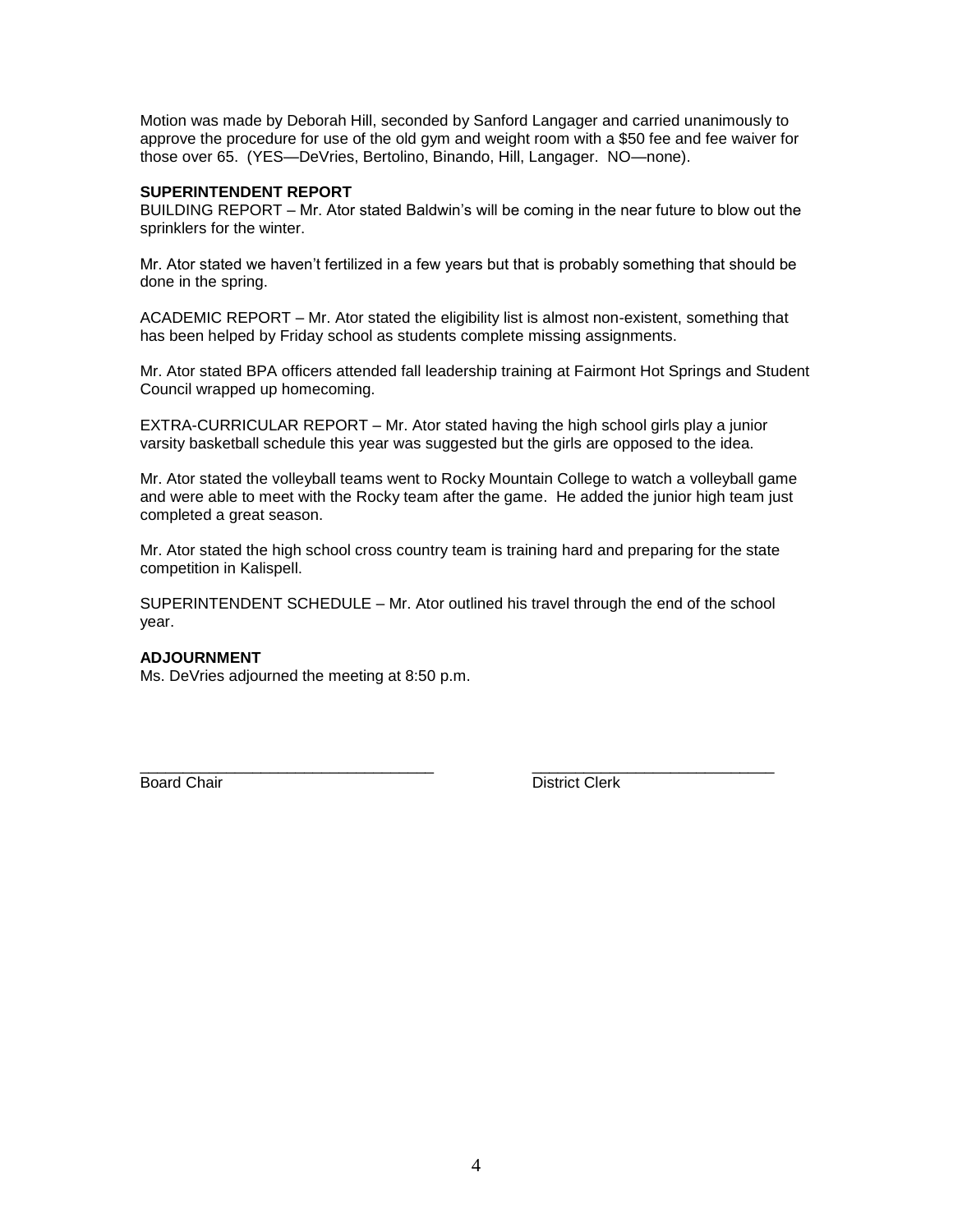Motion was made by Deborah Hill, seconded by Sanford Langager and carried unanimously to approve the procedure for use of the old gym and weight room with a \$50 fee and fee waiver for those over 65. (YES—DeVries, Bertolino, Binando, Hill, Langager. NO—none).

# **SUPERINTENDENT REPORT**

BUILDING REPORT – Mr. Ator stated Baldwin's will be coming in the near future to blow out the sprinklers for the winter.

Mr. Ator stated we haven't fertilized in a few years but that is probably something that should be done in the spring.

ACADEMIC REPORT – Mr. Ator stated the eligibility list is almost non-existent, something that has been helped by Friday school as students complete missing assignments.

Mr. Ator stated BPA officers attended fall leadership training at Fairmont Hot Springs and Student Council wrapped up homecoming.

EXTRA-CURRICULAR REPORT – Mr. Ator stated having the high school girls play a junior varsity basketball schedule this year was suggested but the girls are opposed to the idea.

Mr. Ator stated the volleyball teams went to Rocky Mountain College to watch a volleyball game and were able to meet with the Rocky team after the game. He added the junior high team just completed a great season.

Mr. Ator stated the high school cross country team is training hard and preparing for the state competition in Kalispell.

SUPERINTENDENT SCHEDULE – Mr. Ator outlined his travel through the end of the school year.

\_\_\_\_\_\_\_\_\_\_\_\_\_\_\_\_\_\_\_\_\_\_\_\_\_\_\_\_\_\_\_\_\_\_ \_\_\_\_\_\_\_\_\_\_\_\_\_\_\_\_\_\_\_\_\_\_\_\_\_\_\_\_

# **ADJOURNMENT**

Ms. DeVries adjourned the meeting at 8:50 p.m.

Board Chair **District Clerk**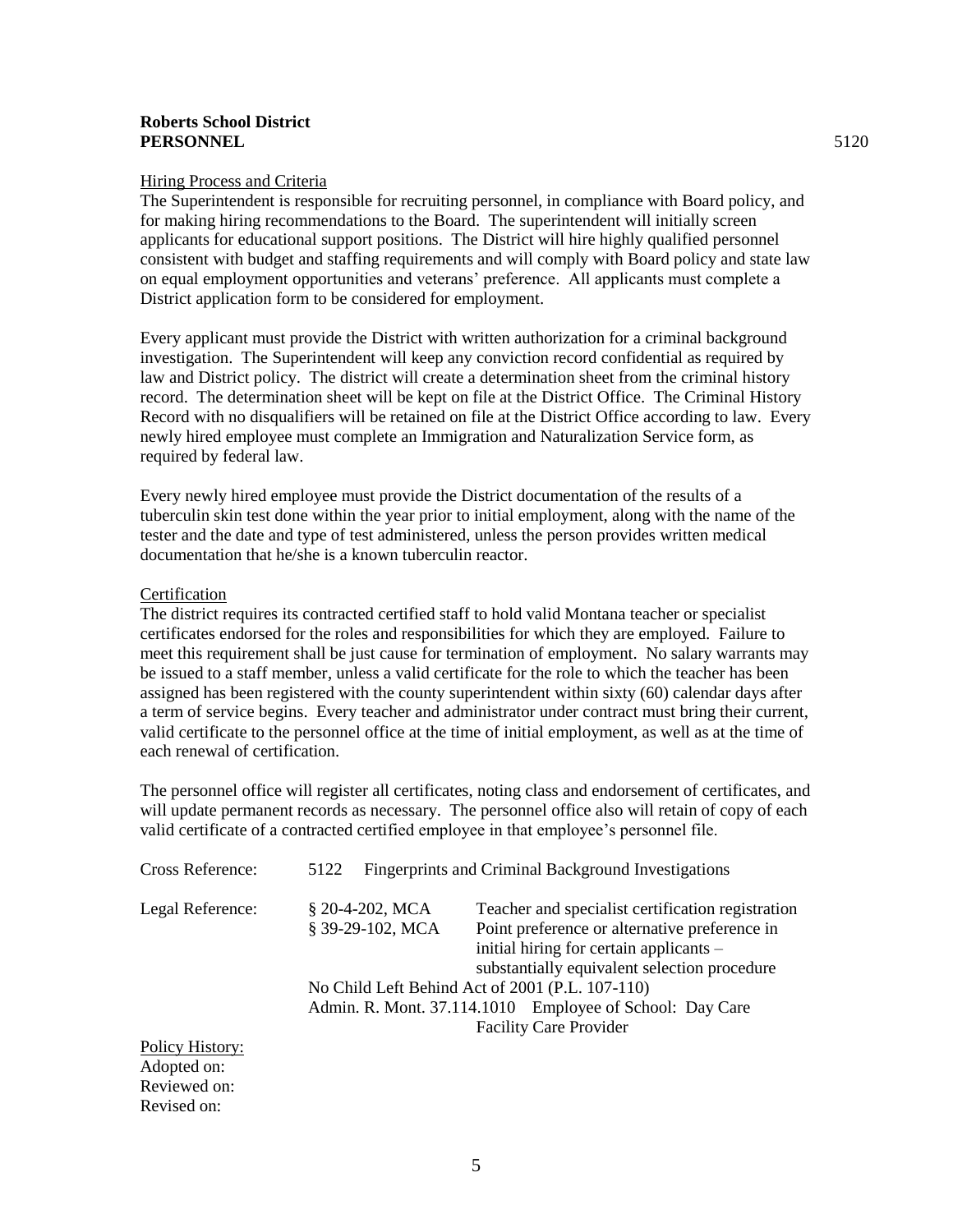# **Roberts School District PERSONNEL** 5120

### Hiring Process and Criteria

The Superintendent is responsible for recruiting personnel, in compliance with Board policy, and for making hiring recommendations to the Board. The superintendent will initially screen applicants for educational support positions. The District will hire highly qualified personnel consistent with budget and staffing requirements and will comply with Board policy and state law on equal employment opportunities and veterans' preference. All applicants must complete a District application form to be considered for employment.

Every applicant must provide the District with written authorization for a criminal background investigation. The Superintendent will keep any conviction record confidential as required by law and District policy. The district will create a determination sheet from the criminal history record. The determination sheet will be kept on file at the District Office. The Criminal History Record with no disqualifiers will be retained on file at the District Office according to law. Every newly hired employee must complete an Immigration and Naturalization Service form, as required by federal law.

Every newly hired employee must provide the District documentation of the results of a tuberculin skin test done within the year prior to initial employment, along with the name of the tester and the date and type of test administered, unless the person provides written medical documentation that he/she is a known tuberculin reactor.

# Certification

The district requires its contracted certified staff to hold valid Montana teacher or specialist certificates endorsed for the roles and responsibilities for which they are employed. Failure to meet this requirement shall be just cause for termination of employment. No salary warrants may be issued to a staff member, unless a valid certificate for the role to which the teacher has been assigned has been registered with the county superintendent within sixty (60) calendar days after a term of service begins. Every teacher and administrator under contract must bring their current, valid certificate to the personnel office at the time of initial employment, as well as at the time of each renewal of certification.

The personnel office will register all certificates, noting class and endorsement of certificates, and will update permanent records as necessary. The personnel office also will retain of copy of each valid certificate of a contracted certified employee in that employee's personnel file.

| Cross Reference: | <b>Fingerprints and Criminal Background Investigations</b><br>5122 |                                                          |  |
|------------------|--------------------------------------------------------------------|----------------------------------------------------------|--|
| Legal Reference: | $$20-4-202$ , MCA                                                  | Teacher and specialist certification registration        |  |
|                  | § 39-29-102, MCA                                                   | Point preference or alternative preference in            |  |
|                  |                                                                    | initial hiring for certain applicants –                  |  |
|                  |                                                                    | substantially equivalent selection procedure             |  |
|                  | No Child Left Behind Act of 2001 (P.L. 107-110)                    |                                                          |  |
|                  |                                                                    | Admin. R. Mont. 37.114.1010 Employee of School: Day Care |  |
|                  |                                                                    | <b>Facility Care Provider</b>                            |  |
| Policy History:  |                                                                    |                                                          |  |
| Adopted on:      |                                                                    |                                                          |  |
| Reviewed on:     |                                                                    |                                                          |  |
| Revised on:      |                                                                    |                                                          |  |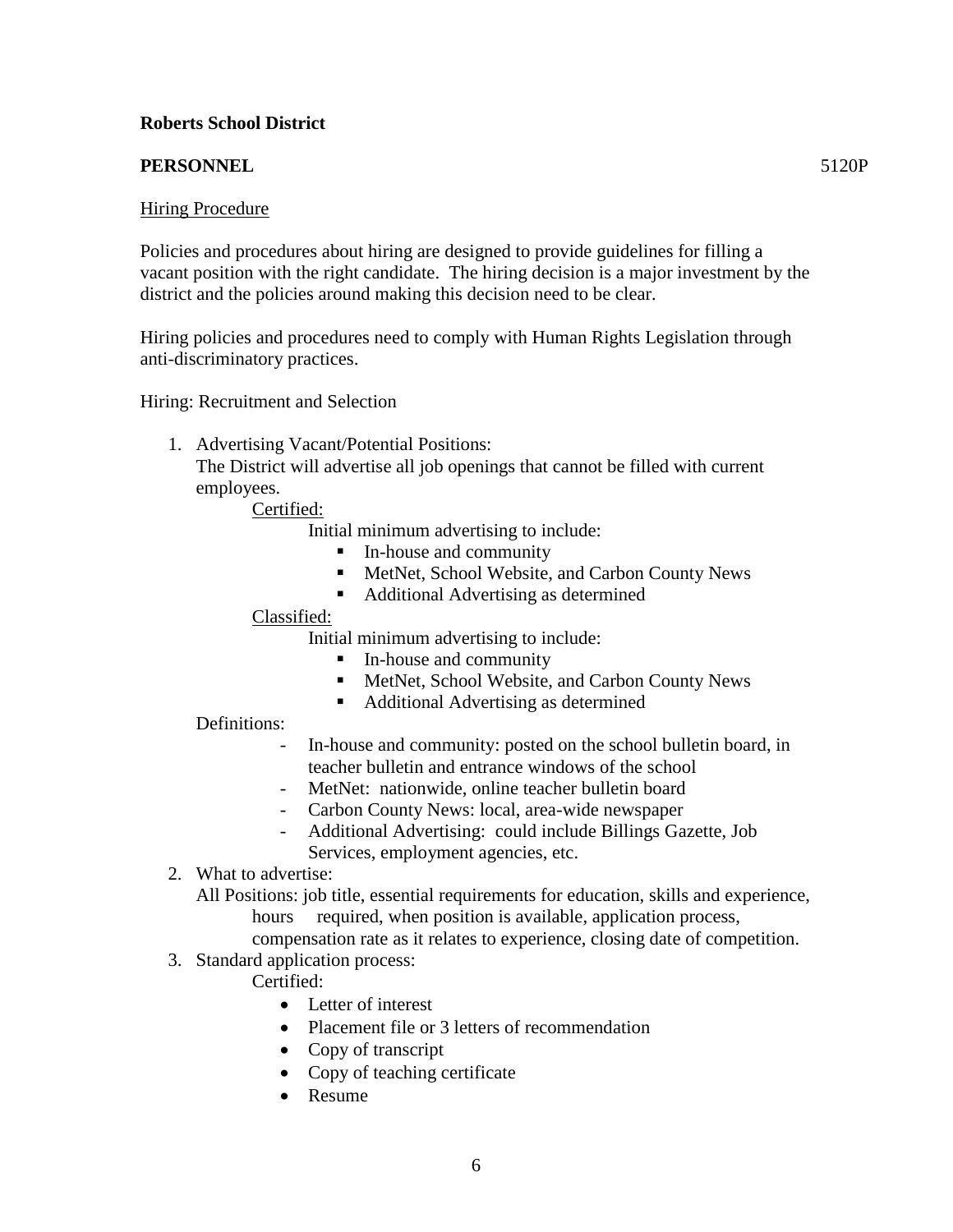# **Roberts School District**

# **PERSONNEL** 5120P

# Hiring Procedure

Policies and procedures about hiring are designed to provide guidelines for filling a vacant position with the right candidate. The hiring decision is a major investment by the district and the policies around making this decision need to be clear.

Hiring policies and procedures need to comply with Human Rights Legislation through anti-discriminatory practices.

Hiring: Recruitment and Selection

1. Advertising Vacant/Potential Positions:

The District will advertise all job openings that cannot be filled with current employees.

Certified:

Initial minimum advertising to include:

- In-house and community
- MetNet, School Website, and Carbon County News
- Additional Advertising as determined

# Classified:

Initial minimum advertising to include:

- In-house and community
- MetNet, School Website, and Carbon County News
- Additional Advertising as determined

# Definitions:

- In-house and community: posted on the school bulletin board, in teacher bulletin and entrance windows of the school
- MetNet: nationwide, online teacher bulletin board
- Carbon County News: local, area-wide newspaper
- Additional Advertising: could include Billings Gazette, Job Services, employment agencies, etc.
- 2. What to advertise:

All Positions: job title, essential requirements for education, skills and experience, hours required, when position is available, application process,

compensation rate as it relates to experience, closing date of competition.

3. Standard application process:

Certified:

- Letter of interest
- Placement file or 3 letters of recommendation
- Copy of transcript
- Copy of teaching certificate
- Resume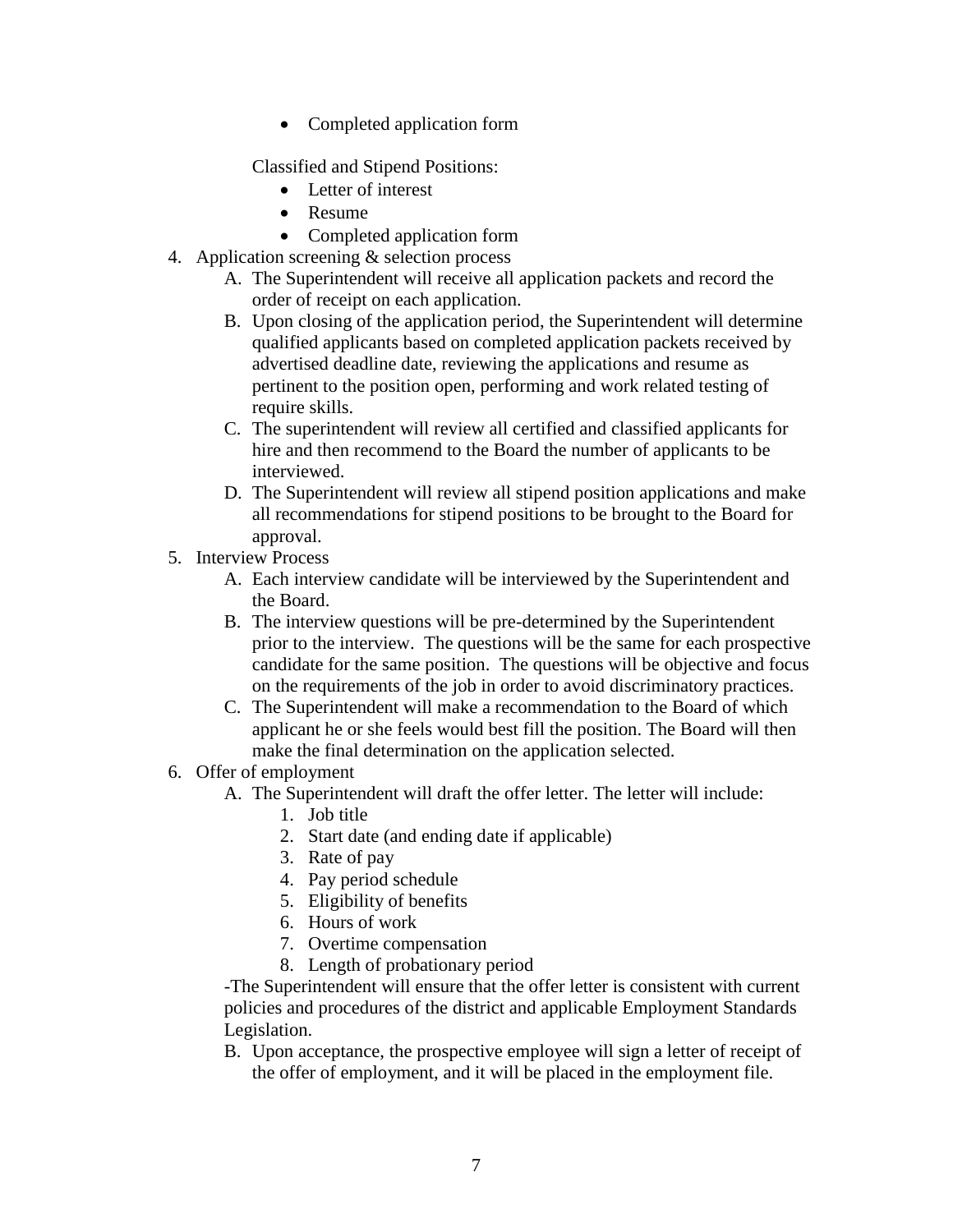• Completed application form

Classified and Stipend Positions:

- Letter of interest
- Resume
- Completed application form
- 4. Application screening & selection process
	- A. The Superintendent will receive all application packets and record the order of receipt on each application.
	- B. Upon closing of the application period, the Superintendent will determine qualified applicants based on completed application packets received by advertised deadline date, reviewing the applications and resume as pertinent to the position open, performing and work related testing of require skills.
	- C. The superintendent will review all certified and classified applicants for hire and then recommend to the Board the number of applicants to be interviewed.
	- D. The Superintendent will review all stipend position applications and make all recommendations for stipend positions to be brought to the Board for approval.
- 5. Interview Process
	- A. Each interview candidate will be interviewed by the Superintendent and the Board.
	- B. The interview questions will be pre-determined by the Superintendent prior to the interview. The questions will be the same for each prospective candidate for the same position. The questions will be objective and focus on the requirements of the job in order to avoid discriminatory practices.
	- C. The Superintendent will make a recommendation to the Board of which applicant he or she feels would best fill the position. The Board will then make the final determination on the application selected.
- 6. Offer of employment
	- A. The Superintendent will draft the offer letter. The letter will include:
		- 1. Job title
			- 2. Start date (and ending date if applicable)
			- 3. Rate of pay
			- 4. Pay period schedule
			- 5. Eligibility of benefits
			- 6. Hours of work
			- 7. Overtime compensation
			- 8. Length of probationary period

-The Superintendent will ensure that the offer letter is consistent with current policies and procedures of the district and applicable Employment Standards Legislation.

B. Upon acceptance, the prospective employee will sign a letter of receipt of the offer of employment, and it will be placed in the employment file.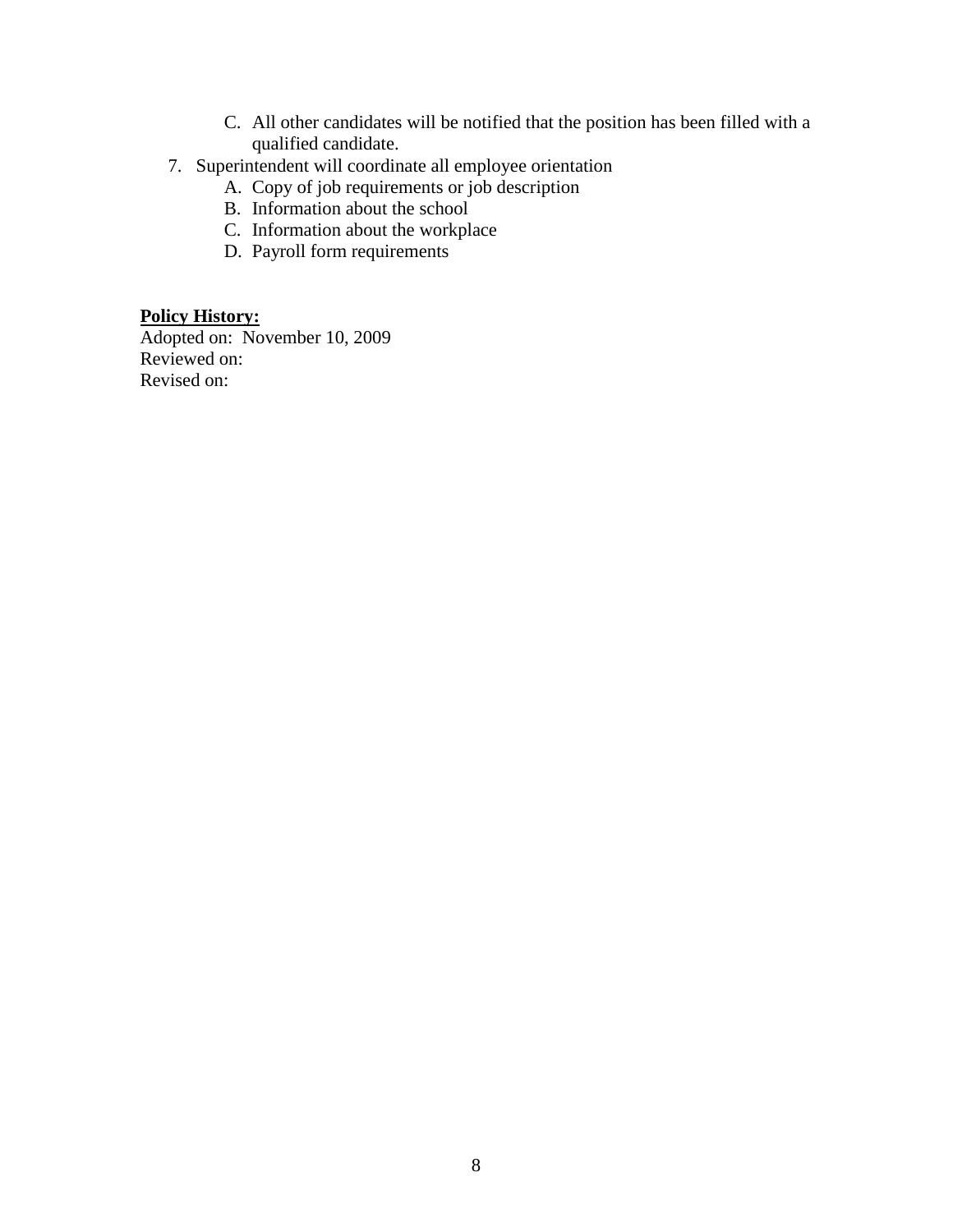- C. All other candidates will be notified that the position has been filled with a qualified candidate.
- 7. Superintendent will coordinate all employee orientation
	- A. Copy of job requirements or job description
	- B. Information about the school
	- C. Information about the workplace
	- D. Payroll form requirements

# **Policy History:**

Adopted on: November 10, 2009 Reviewed on: Revised on: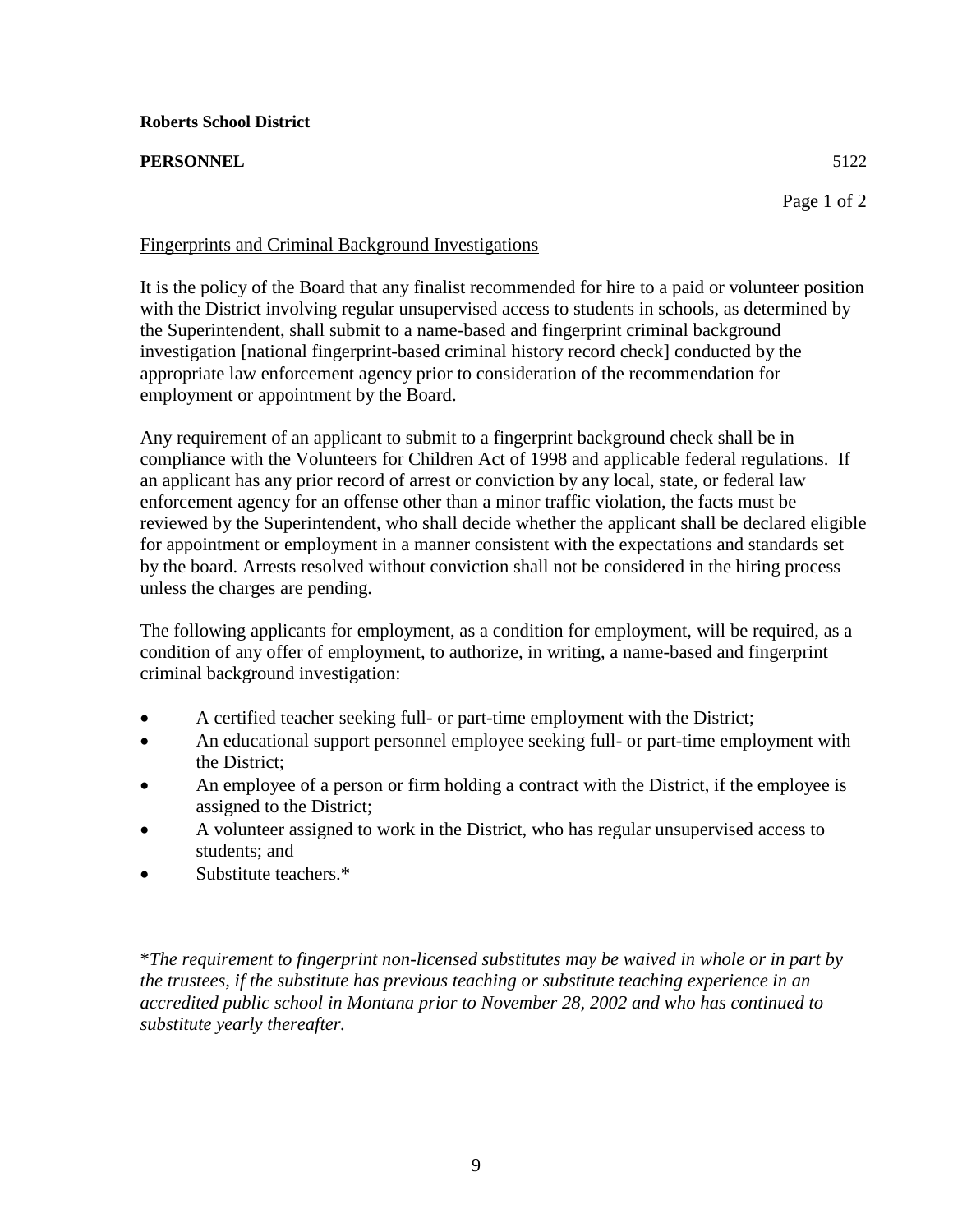# **PERSONNEL** 5122

# Fingerprints and Criminal Background Investigations

It is the policy of the Board that any finalist recommended for hire to a paid or volunteer position with the District involving regular unsupervised access to students in schools, as determined by the Superintendent, shall submit to a name-based and fingerprint criminal background 12 investigation [national fingerprint-based criminal history record check] conducted by the appropriate law enforcement agency prior to consideration of the recommendation for employment or appointment by the Board.

Any requirement of an applicant to submit to a fingerprint background check shall be in compliance with the Volunteers for Children Act of 1998 and applicable federal regulations. If an applicant has any prior record of arrest or conviction by any local, state, or federal law 19 enforcement agency for an offense other than a minor traffic violation, the facts must be 20 reviewed by the Superintendent, who shall decide whether the applicant shall be declared eligible 21 for appointment or employment in a manner consistent with the expectations and standards set 22 by the board. Arrests resolved without conviction shall not be considered in the hiring process unless the charges are pending.

The following applicants for employment, as a condition for employment, will be required, as a 26 condition of any offer of employment, to authorize, in writing, a name-based and fingerprint criminal background investigation:

- A certified teacher seeking full- or part-time employment with the District;
- An educational support personnel employee seeking full- or part-time employment with the District:
- 32 An employee of a person or firm holding a contract with the District, if the employee is assigned to the District;
- 34 A volunteer assigned to work in the District, who has regular unsupervised access to students; and
- Substitute teachers.\*

40 \**The requirement to fingerprint non-licensed substitutes may be waived in whole or in part by*  the trustees, if the substitute has previous teaching or substitute teaching experience in an accredited public school in Montana prior to November 28, 2002 and who has continued to 43 *substitute yearly thereafter.*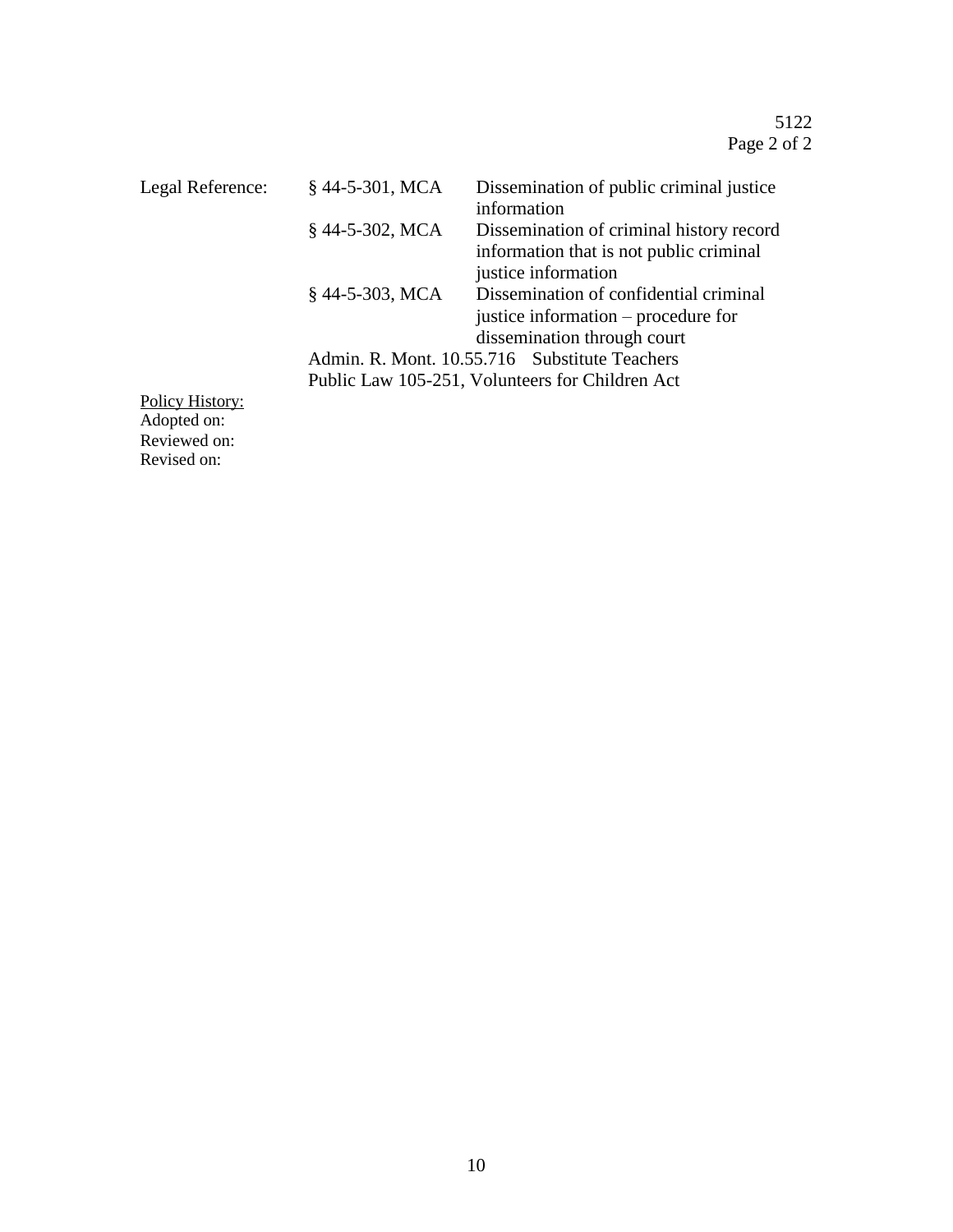| Legal Reference: | §44-5-301, MCA                                  | Dissemination of public criminal justice<br>information |
|------------------|-------------------------------------------------|---------------------------------------------------------|
|                  | $$44-5-302$ , MCA                               | Dissemination of criminal history record                |
|                  |                                                 | information that is not public criminal                 |
|                  |                                                 | justice information                                     |
|                  | $§$ 44-5-303, MCA                               | Dissemination of confidential criminal                  |
|                  |                                                 | justice information – procedure for                     |
|                  |                                                 | dissemination through court                             |
|                  |                                                 | Admin. R. Mont. 10.55.716 Substitute Teachers           |
|                  | Public Law 105-251, Volunteers for Children Act |                                                         |
| Policy History:  |                                                 |                                                         |
| Adopted on:      |                                                 |                                                         |
| Reviewed on:     |                                                 |                                                         |

Revised on: